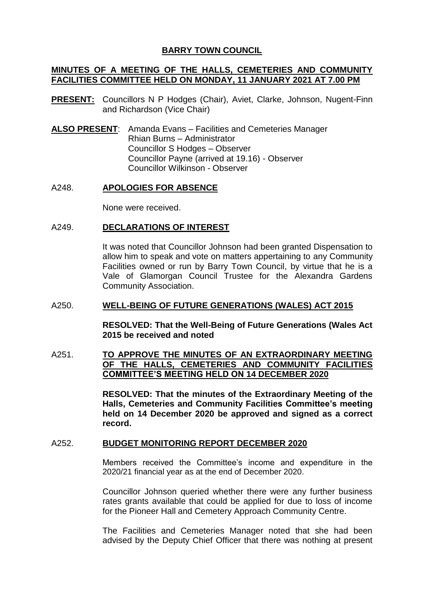# **BARRY TOWN COUNCIL**

# **MINUTES OF A MEETING OF THE HALLS, CEMETERIES AND COMMUNITY FACILITIES COMMITTEE HELD ON MONDAY, 11 JANUARY 2021 AT 7.00 PM**

- **PRESENT:** Councillors N P Hodges (Chair), Aviet, Clarke, Johnson, Nugent-Finn and Richardson (Vice Chair)
- **ALSO PRESENT**: Amanda Evans Facilities and Cemeteries Manager Rhian Burns – Administrator Councillor S Hodges – Observer Councillor Payne (arrived at 19.16) - Observer Councillor Wilkinson - Observer

# A248. **APOLOGIES FOR ABSENCE**

None were received.

# A249. **DECLARATIONS OF INTEREST**

It was noted that Councillor Johnson had been granted Dispensation to allow him to speak and vote on matters appertaining to any Community Facilities owned or run by Barry Town Council, by virtue that he is a Vale of Glamorgan Council Trustee for the Alexandra Gardens Community Association.

#### A250. **WELL-BEING OF FUTURE GENERATIONS (WALES) ACT 2015**

**RESOLVED: That the Well-Being of Future Generations (Wales Act 2015 be received and noted** 

# A251. **TO APPROVE THE MINUTES OF AN EXTRAORDINARY MEETING OF THE HALLS, CEMETERIES AND COMMUNITY FACILITIES COMMITTEE'S MEETING HELD ON 14 DECEMBER 2020**

**RESOLVED: That the minutes of the Extraordinary Meeting of the Halls, Cemeteries and Community Facilities Committee's meeting held on 14 December 2020 be approved and signed as a correct record.**

#### A252. **BUDGET MONITORING REPORT DECEMBER 2020**

Members received the Committee's income and expenditure in the 2020/21 financial year as at the end of December 2020.

Councillor Johnson queried whether there were any further business rates grants available that could be applied for due to loss of income for the Pioneer Hall and Cemetery Approach Community Centre.

The Facilities and Cemeteries Manager noted that she had been advised by the Deputy Chief Officer that there was nothing at present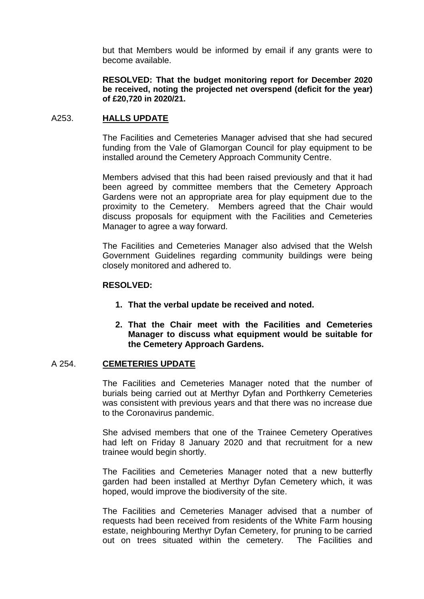but that Members would be informed by email if any grants were to become available.

**RESOLVED: That the budget monitoring report for December 2020 be received, noting the projected net overspend (deficit for the year) of £20,720 in 2020/21.**

#### A253. **HALLS UPDATE**

The Facilities and Cemeteries Manager advised that she had secured funding from the Vale of Glamorgan Council for play equipment to be installed around the Cemetery Approach Community Centre.

Members advised that this had been raised previously and that it had been agreed by committee members that the Cemetery Approach Gardens were not an appropriate area for play equipment due to the proximity to the Cemetery. Members agreed that the Chair would discuss proposals for equipment with the Facilities and Cemeteries Manager to agree a way forward.

The Facilities and Cemeteries Manager also advised that the Welsh Government Guidelines regarding community buildings were being closely monitored and adhered to.

# **RESOLVED:**

- **1. That the verbal update be received and noted.**
- **2. That the Chair meet with the Facilities and Cemeteries Manager to discuss what equipment would be suitable for the Cemetery Approach Gardens.**

#### A 254. **CEMETERIES UPDATE**

The Facilities and Cemeteries Manager noted that the number of burials being carried out at Merthyr Dyfan and Porthkerry Cemeteries was consistent with previous years and that there was no increase due to the Coronavirus pandemic.

She advised members that one of the Trainee Cemetery Operatives had left on Friday 8 January 2020 and that recruitment for a new trainee would begin shortly.

The Facilities and Cemeteries Manager noted that a new butterfly garden had been installed at Merthyr Dyfan Cemetery which, it was hoped, would improve the biodiversity of the site.

The Facilities and Cemeteries Manager advised that a number of requests had been received from residents of the White Farm housing estate, neighbouring Merthyr Dyfan Cemetery, for pruning to be carried out on trees situated within the cemetery. The Facilities and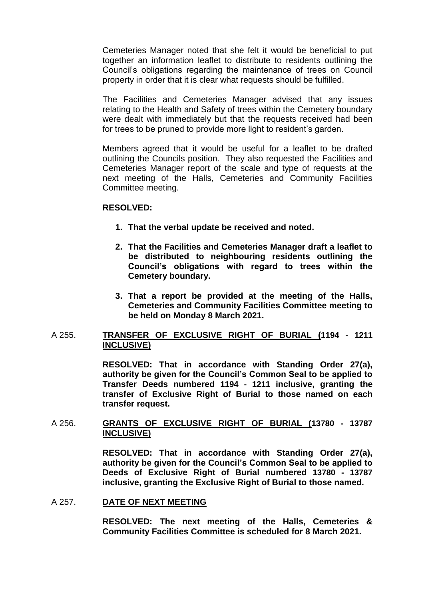Cemeteries Manager noted that she felt it would be beneficial to put together an information leaflet to distribute to residents outlining the Council's obligations regarding the maintenance of trees on Council property in order that it is clear what requests should be fulfilled.

The Facilities and Cemeteries Manager advised that any issues relating to the Health and Safety of trees within the Cemetery boundary were dealt with immediately but that the requests received had been for trees to be pruned to provide more light to resident's garden.

Members agreed that it would be useful for a leaflet to be drafted outlining the Councils position. They also requested the Facilities and Cemeteries Manager report of the scale and type of requests at the next meeting of the Halls, Cemeteries and Community Facilities Committee meeting.

### **RESOLVED:**

- **1. That the verbal update be received and noted.**
- **2. That the Facilities and Cemeteries Manager draft a leaflet to be distributed to neighbouring residents outlining the Council's obligations with regard to trees within the Cemetery boundary.**
- **3. That a report be provided at the meeting of the Halls, Cemeteries and Community Facilities Committee meeting to be held on Monday 8 March 2021.**

#### A 255. **TRANSFER OF EXCLUSIVE RIGHT OF BURIAL (1194 - 1211 INCLUSIVE)**

**RESOLVED: That in accordance with Standing Order 27(a), authority be given for the Council's Common Seal to be applied to Transfer Deeds numbered 1194 - 1211 inclusive, granting the transfer of Exclusive Right of Burial to those named on each transfer request.** 

# A 256. **GRANTS OF EXCLUSIVE RIGHT OF BURIAL (13780 - 13787 INCLUSIVE)**

**RESOLVED: That in accordance with Standing Order 27(a), authority be given for the Council's Common Seal to be applied to Deeds of Exclusive Right of Burial numbered 13780 - 13787 inclusive, granting the Exclusive Right of Burial to those named.** 

### A 257. **DATE OF NEXT MEETING**

**RESOLVED: The next meeting of the Halls, Cemeteries & Community Facilities Committee is scheduled for 8 March 2021.**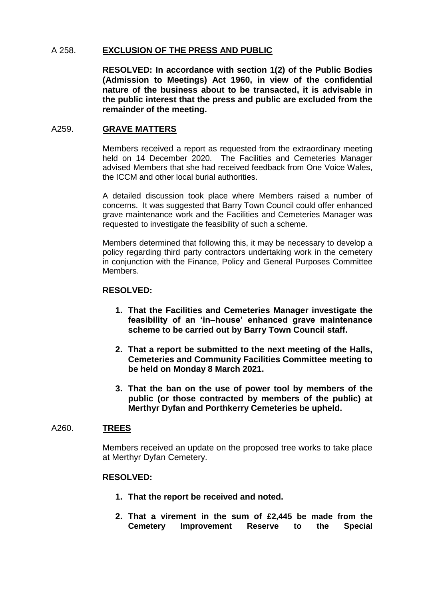# A 258. **EXCLUSION OF THE PRESS AND PUBLIC**

**RESOLVED: In accordance with section 1(2) of the Public Bodies (Admission to Meetings) Act 1960, in view of the confidential nature of the business about to be transacted, it is advisable in the public interest that the press and public are excluded from the remainder of the meeting.**

### A259. **GRAVE MATTERS**

Members received a report as requested from the extraordinary meeting held on 14 December 2020. The Facilities and Cemeteries Manager advised Members that she had received feedback from One Voice Wales, the ICCM and other local burial authorities.

A detailed discussion took place where Members raised a number of concerns. It was suggested that Barry Town Council could offer enhanced grave maintenance work and the Facilities and Cemeteries Manager was requested to investigate the feasibility of such a scheme.

Members determined that following this, it may be necessary to develop a policy regarding third party contractors undertaking work in the cemetery in conjunction with the Finance, Policy and General Purposes Committee Members.

#### **RESOLVED:**

- **1. That the Facilities and Cemeteries Manager investigate the feasibility of an 'in–house' enhanced grave maintenance scheme to be carried out by Barry Town Council staff.**
- **2. That a report be submitted to the next meeting of the Halls, Cemeteries and Community Facilities Committee meeting to be held on Monday 8 March 2021.**
- **3. That the ban on the use of power tool by members of the public (or those contracted by members of the public) at Merthyr Dyfan and Porthkerry Cemeteries be upheld.**

#### A260. **TREES**

Members received an update on the proposed tree works to take place at Merthyr Dyfan Cemetery.

#### **RESOLVED:**

- **1. That the report be received and noted.**
- **2. That a virement in the sum of £2,445 be made from the Cemetery Improvement Reserve to the Special**